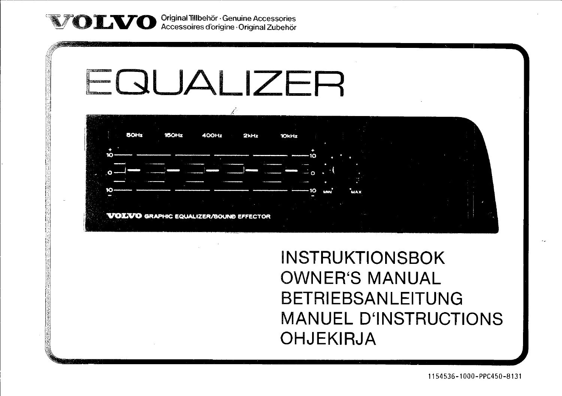Original Tillbehör· Genuine Accessories Accessoires d'origine· Original Zubehör



INSTRUKTIONSBOK OWNER'S MANUAL **BETRIEBSANLEITUNG** MANUEL D'INSTRUCTIONS OHJEKIRJA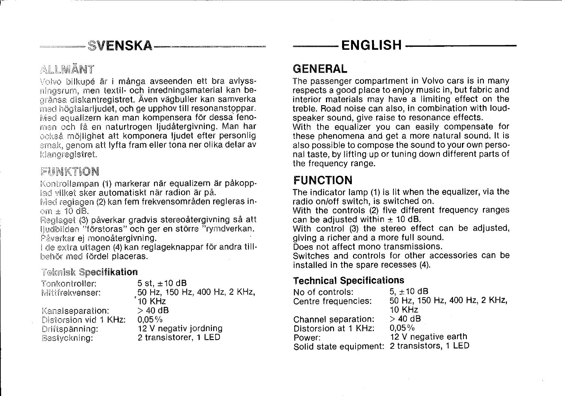## $SVPNSKA-$

## ALLMÄNT

Volvo bilkupé är i många avseenden ett bra avlyssmingsrum, men textil- och inredningsmaterial kan bearänsa diskantregistret. Även vägbuller kan samverka med högtalarljudet, och ge upphov till resonanstoppar. Med equalizern kan man kompensera för dessa fenomen och få en naturtrogen ljudåtergivning. Man har pekså möjlighet att komponera ljudet efter personlig smak, genom att lyfta fram eller tona ner olika delar av<br>Idangregistret.

### FIINKTION

Kontrollampan (1) markerar när equalizern är påkopplad vilket sker automatiskt när radion är på.

Med reglagen (2) kan fem frekvensområden regleras inom  $\pm$  10 dB.

Reglaget (3) påverkar gradvis stereoåtergivning så att ljudbilden "förstoras" och ger en större "rymdverkan. Påverkar ei monoåtergivning.

I cle extra uttagen (4) kan reglageknappar för andra tillbehör med fördel placeras.

#### Teknisk Specifikation

| Tonkontroller:        | 5 st, $\pm$ 10 dB             |
|-----------------------|-------------------------------|
| Mittfrekvenser:       | 50 Hz, 150 Hz, 400 Hz, 2 KHz, |
|                       | 10 KHz                        |
| Kanalseparation:      | $>$ 40 dB                     |
| Distorsion vid 1 KHz: | $0.05\%$                      |
| Driftspänning:        | 12 V negativ jordning         |
| Bestyckning:          | 2 transistorer, 1 LED         |

## GENERAL

r~---------------------------------------------------

The passenger compartment in Volvo cars is in many respects a good place to enjoy music in, but fabric and interior materials may have a limiting effect on the treble. Road noise can also, in combination with loudspeaker sound, give raise to resonance effects.

-~- ENGLISH ------

With the equalizer you can easily compensate for these phenomena and get a more natural sound. It is also possible to compose the sound to your own personal taste, by lifting up or tuning down different parts of the frequency range.

## FUNCTION

The indicator lamp (1) is lit when the equalizer, via the radio on/off switch, is switched on.

With the controls (2) five different frequency ranges can be adjusted within  $\pm$  10 dB.

With controi (3) the stereo effect can be adjusted, giving a richer and a more full sound.

Does not affect mono transmissions.

Switches and controls for other accessories can be installed in the spare recesses (4).

#### Technical Specifications

| 5. $\pm$ 10 dB                              |
|---------------------------------------------|
| 50 Hz, 150 Hz, 400 Hz, 2 KHz,               |
| 10 KHz                                      |
| $>$ 40 dB                                   |
| $0.05\%$                                    |
| 12 V negative earth                         |
| Solid state equipment: 2 transistors, 1 LED |
|                                             |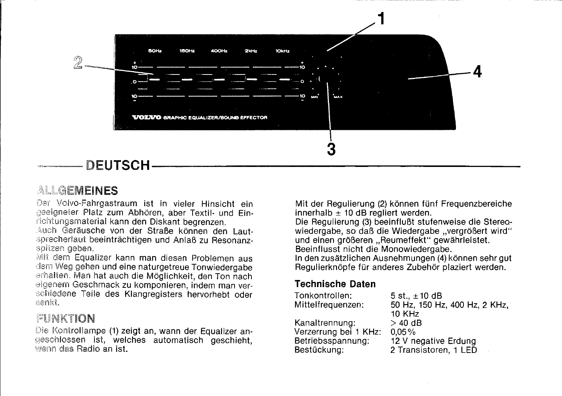

### ALLGEMEINES

Volvo-Fahrgastraum ist in vieler Hinsicht ein geeigneter Platz zum Abhören, aber Textil- und Einrichtungsmaterial kann den Diskant begrenzen.

Auch Geräusche von der Straße können den Lautsprecherlaut beeinträchtigen und Anlaß zu Resonanzspitzen geben.

Mit dem Equalizer kann man diesen Problemen aus dem Weg gehen und eine naturgetreue Tonwiedergabe erhalten. Man hat auch die Möglichkeit, den Ton nach eigenem Geschmack zu komponieren, indem man verschiedene Teile des Klangregisters hervorhebt oder senkt.

### FUNKTION

Die Kontrollampe (1) zeigt an, wann der Equalizer angeschlossen ist, welches automatisch geschieht, wann das Radio an ist.

Mit der Regulierung (2) können fünf Frequenzbereiche innerhalb  $\pm$  10 dB regliert werden.

Die Regulierung (3) beeinfluBt stufenweise die Stereowiedergabe, so daß die Wiedergabe "vergrößert wird" und einen größeren "Reumeffekt" gewährleistet. Beeinflusst nicht die Monowiedergabe.

In den zusätzlichen Ausnehmungen (4) können sehr gut Regulierknöpfe tur anderes Zubehör plaziert werden.

#### Technische Daten

| Tonkontrollen:        | 5 st., $\pm$ 10 dB            |
|-----------------------|-------------------------------|
| Mittelfrequenzen:     | 50 Hz, 150 Hz, 400 Hz, 2 KHz, |
|                       | <b>10 KHz</b>                 |
| Kanaltrennung:        | $>$ 40 dB                     |
| Verzerrung bei 1 KHz: | $0.05\%$                      |
| Betriebsspannung:     | 12 V negative Erdung          |
| Bestückung:           | 2 Transistoren, 1 LED         |